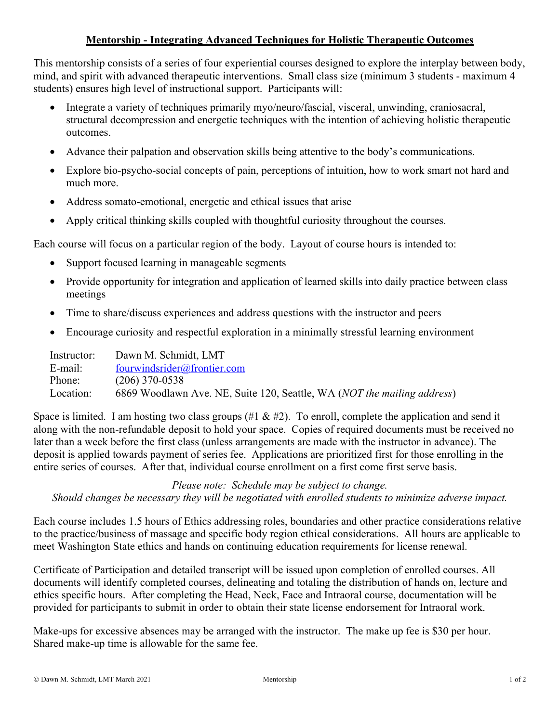# **Mentorship - Integrating Advanced Techniques for Holistic Therapeutic Outcomes**

This mentorship consists of a series of four experiential courses designed to explore the interplay between body, mind, and spirit with advanced therapeutic interventions. Small class size (minimum 3 students - maximum 4 students) ensures high level of instructional support. Participants will:

- Integrate a variety of techniques primarily myo/neuro/fascial, visceral, unwinding, craniosacral, structural decompression and energetic techniques with the intention of achieving holistic therapeutic outcomes.
- Advance their palpation and observation skills being attentive to the body's communications.
- Explore bio-psycho-social concepts of pain, perceptions of intuition, how to work smart not hard and much more.
- Address somato-emotional, energetic and ethical issues that arise
- Apply critical thinking skills coupled with thoughtful curiosity throughout the courses.

Each course will focus on a particular region of the body. Layout of course hours is intended to:

- Support focused learning in manageable segments
- Provide opportunity for integration and application of learned skills into daily practice between class meetings
- Time to share/discuss experiences and address questions with the instructor and peers
- Encourage curiosity and respectful exploration in a minimally stressful learning environment

| Instructor: | Dawn M. Schmidt, LMT                                                             |
|-------------|----------------------------------------------------------------------------------|
| E-mail:     | fourwindsrider@frontier.com                                                      |
| Phone:      | $(206)$ 370-0538                                                                 |
| Location:   | 6869 Woodlawn Ave. NE, Suite 120, Seattle, WA ( <i>NOT the mailing address</i> ) |

Space is limited. I am hosting two class groups  $(\#1 \& \#2)$ . To enroll, complete the application and send it along with the non-refundable deposit to hold your space. Copies of required documents must be received no later than a week before the first class (unless arrangements are made with the instructor in advance). The deposit is applied towards payment of series fee. Applications are prioritized first for those enrolling in the entire series of courses. After that, individual course enrollment on a first come first serve basis.

*Please note: Schedule may be subject to change. Should changes be necessary they will be negotiated with enrolled students to minimize adverse impact.*

Each course includes 1.5 hours of Ethics addressing roles, boundaries and other practice considerations relative to the practice/business of massage and specific body region ethical considerations. All hours are applicable to meet Washington State ethics and hands on continuing education requirements for license renewal.

Certificate of Participation and detailed transcript will be issued upon completion of enrolled courses. All documents will identify completed courses, delineating and totaling the distribution of hands on, lecture and ethics specific hours. After completing the Head, Neck, Face and Intraoral course, documentation will be provided for participants to submit in order to obtain their state license endorsement for Intraoral work.

Make-ups for excessive absences may be arranged with the instructor. The make up fee is \$30 per hour. Shared make-up time is allowable for the same fee.